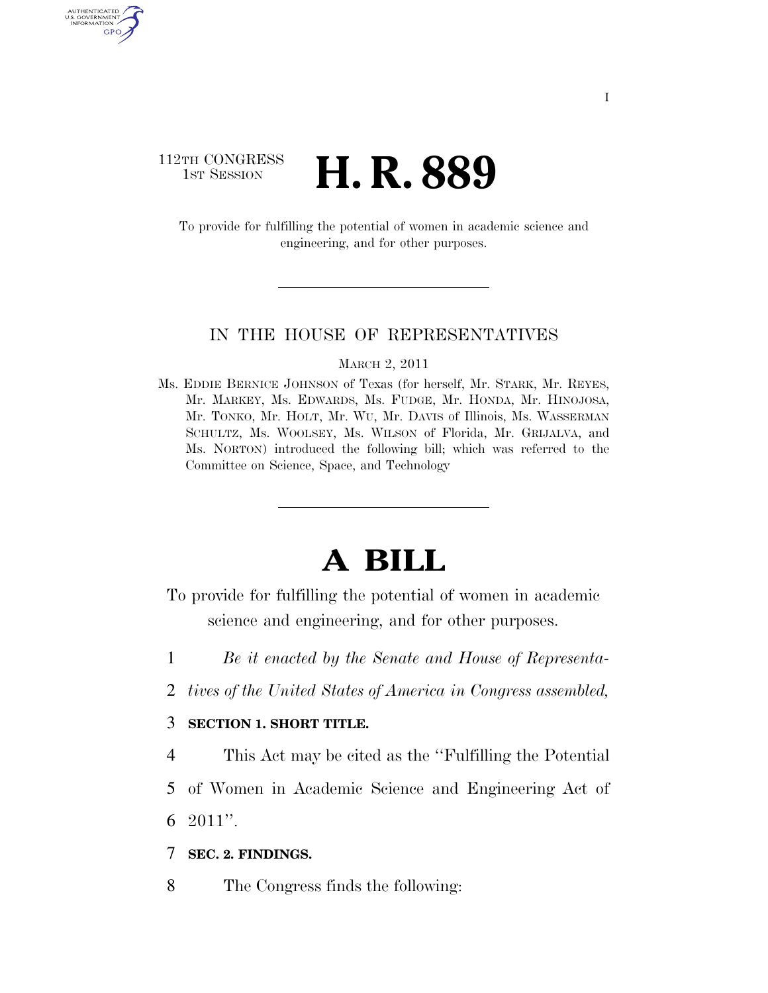### 112TH CONGRESS **1ST SESSION H. R. 889**

AUTHENTICATED U.S. GOVERNMENT GPO

> To provide for fulfilling the potential of women in academic science and engineering, and for other purposes.

#### IN THE HOUSE OF REPRESENTATIVES

#### MARCH 2, 2011

Ms. EDDIE BERNICE JOHNSON of Texas (for herself, Mr. STARK, Mr. REYES, Mr. MARKEY, Ms. EDWARDS, Ms. FUDGE, Mr. HONDA, Mr. HINOJOSA, Mr. TONKO, Mr. HOLT, Mr. WU, Mr. DAVIS of Illinois, Ms. WASSERMAN SCHULTZ, Ms. WOOLSEY, Ms. WILSON of Florida, Mr. GRIJALVA, and Ms. NORTON) introduced the following bill; which was referred to the Committee on Science, Space, and Technology

# **A BILL**

- To provide for fulfilling the potential of women in academic science and engineering, and for other purposes.
- 1 *Be it enacted by the Senate and House of Representa-*
- 2 *tives of the United States of America in Congress assembled,*

#### 3 **SECTION 1. SHORT TITLE.**

4 This Act may be cited as the ''Fulfilling the Potential

5 of Women in Academic Science and Engineering Act of 6 2011''.

#### 7 **SEC. 2. FINDINGS.**

8 The Congress finds the following: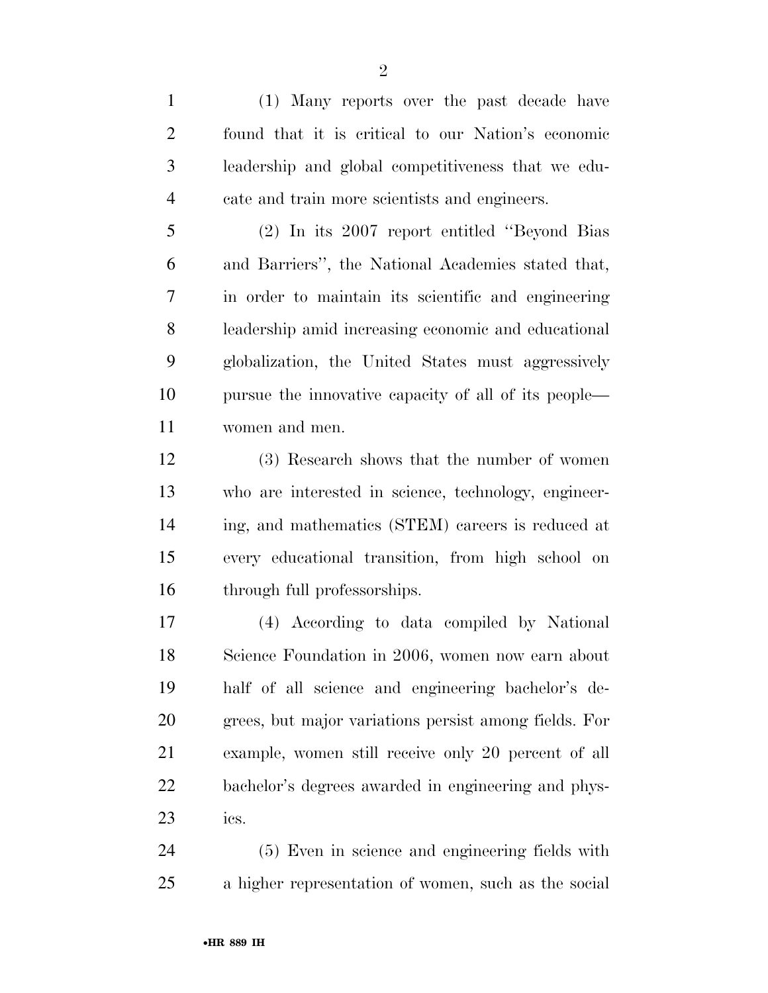(1) Many reports over the past decade have found that it is critical to our Nation's economic leadership and global competitiveness that we edu-cate and train more scientists and engineers.

 (2) In its 2007 report entitled ''Beyond Bias and Barriers'', the National Academies stated that, in order to maintain its scientific and engineering leadership amid increasing economic and educational globalization, the United States must aggressively pursue the innovative capacity of all of its people— women and men.

 (3) Research shows that the number of women who are interested in science, technology, engineer- ing, and mathematics (STEM) careers is reduced at every educational transition, from high school on through full professorships.

 (4) According to data compiled by National Science Foundation in 2006, women now earn about half of all science and engineering bachelor's de- grees, but major variations persist among fields. For example, women still receive only 20 percent of all bachelor's degrees awarded in engineering and phys-ics.

 (5) Even in science and engineering fields with a higher representation of women, such as the social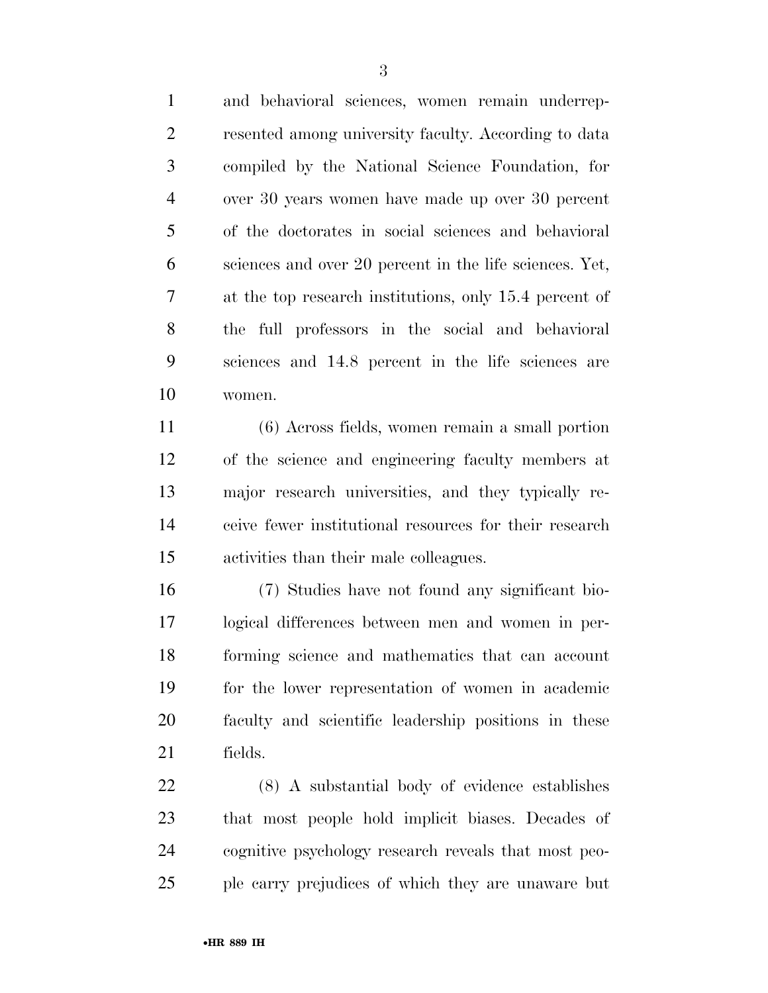and behavioral sciences, women remain underrep- resented among university faculty. According to data compiled by the National Science Foundation, for over 30 years women have made up over 30 percent of the doctorates in social sciences and behavioral sciences and over 20 percent in the life sciences. Yet, at the top research institutions, only 15.4 percent of the full professors in the social and behavioral sciences and 14.8 percent in the life sciences are women.

 (6) Across fields, women remain a small portion of the science and engineering faculty members at major research universities, and they typically re- ceive fewer institutional resources for their research activities than their male colleagues.

 (7) Studies have not found any significant bio- logical differences between men and women in per- forming science and mathematics that can account for the lower representation of women in academic faculty and scientific leadership positions in these fields.

 (8) A substantial body of evidence establishes that most people hold implicit biases. Decades of cognitive psychology research reveals that most peo-ple carry prejudices of which they are unaware but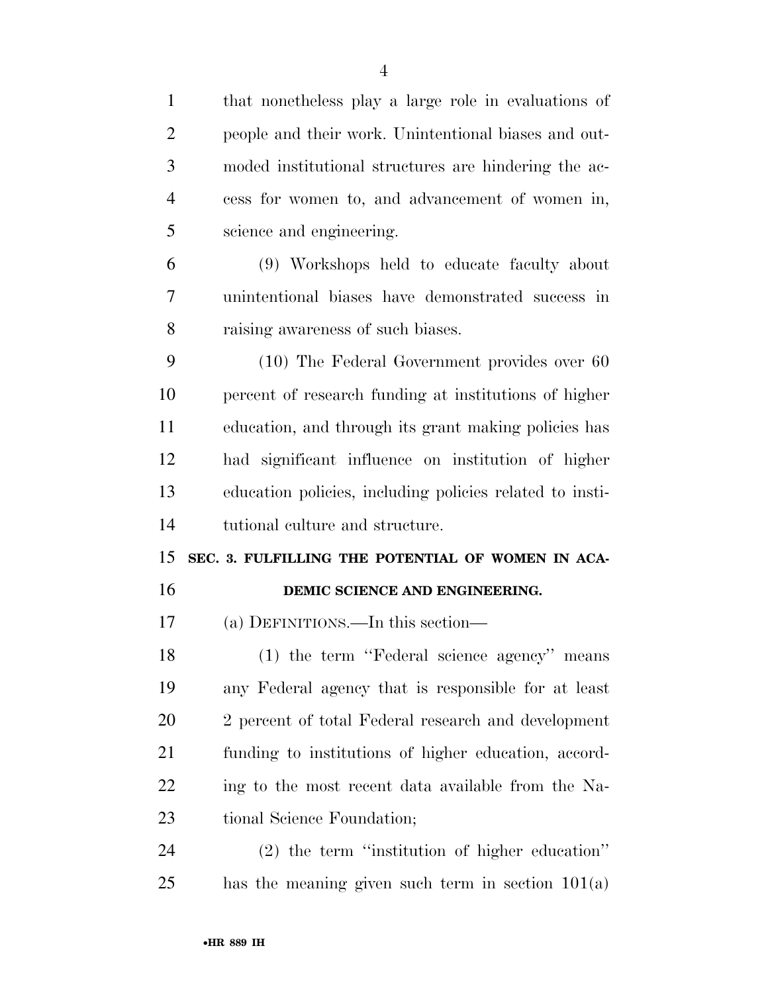| $\mathbf{1}$   | that nonetheless play a large role in evaluations of     |
|----------------|----------------------------------------------------------|
| $\overline{2}$ | people and their work. Unintentional biases and out-     |
| 3              | moded institutional structures are hindering the ac-     |
| $\overline{4}$ | cess for women to, and advancement of women in,          |
| 5              | science and engineering.                                 |
| 6              | (9) Workshops held to educate faculty about              |
| 7              | unintentional biases have demonstrated success in        |
| 8              | raising awareness of such biases.                        |
| 9              | $(10)$ The Federal Government provides over 60           |
| 10             | percent of research funding at institutions of higher    |
| 11             | education, and through its grant making policies has     |
| 12             | had significant influence on institution of higher       |
|                |                                                          |
| 13             | education policies, including policies related to insti- |
| 14             | tutional culture and structure.                          |
| 15             | SEC. 3. FULFILLING THE POTENTIAL OF WOMEN IN ACA-        |
| 16             | DEMIC SCIENCE AND ENGINEERING.                           |
| 17             | (a) DEFINITIONS.—In this section—                        |
| 18             | (1) the term "Federal science agency" means              |
| 19             | any Federal agency that is responsible for at least      |
| 20             | 2 percent of total Federal research and development      |
| 21             | funding to institutions of higher education, accord-     |
| <u>22</u>      | ing to the most recent data available from the Na-       |
| 23             | tional Science Foundation;                               |
| 24             | $(2)$ the term "institution of higher education"         |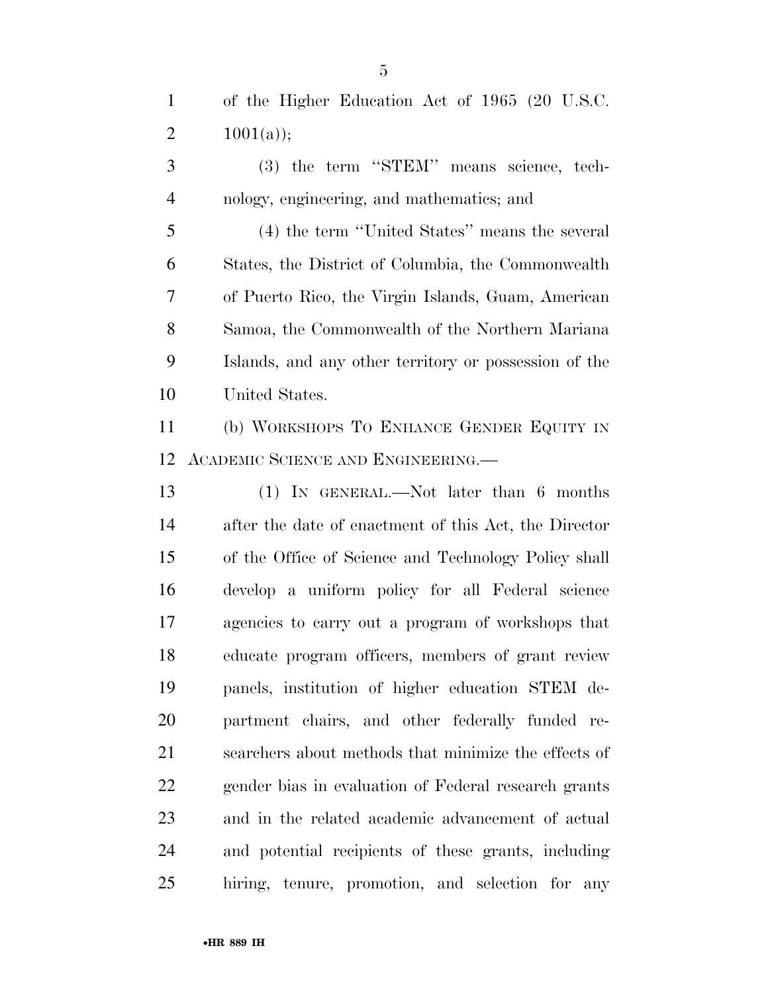of the Higher Education Act of 1965 (20 U.S.C. 2  $1001(a)$ ;

 (3) the term ''STEM'' means science, tech-nology, engineering, and mathematics; and

 (4) the term ''United States'' means the several States, the District of Columbia, the Commonwealth of Puerto Rico, the Virgin Islands, Guam, American Samoa, the Commonwealth of the Northern Mariana Islands, and any other territory or possession of the United States.

 (b) WORKSHOPS TO ENHANCE GENDER EQUITY IN ACADEMIC SCIENCE AND ENGINEERING.—

 (1) IN GENERAL.—Not later than 6 months after the date of enactment of this Act, the Director of the Office of Science and Technology Policy shall develop a uniform policy for all Federal science agencies to carry out a program of workshops that educate program officers, members of grant review panels, institution of higher education STEM de- partment chairs, and other federally funded re- searchers about methods that minimize the effects of gender bias in evaluation of Federal research grants and in the related academic advancement of actual and potential recipients of these grants, including hiring, tenure, promotion, and selection for any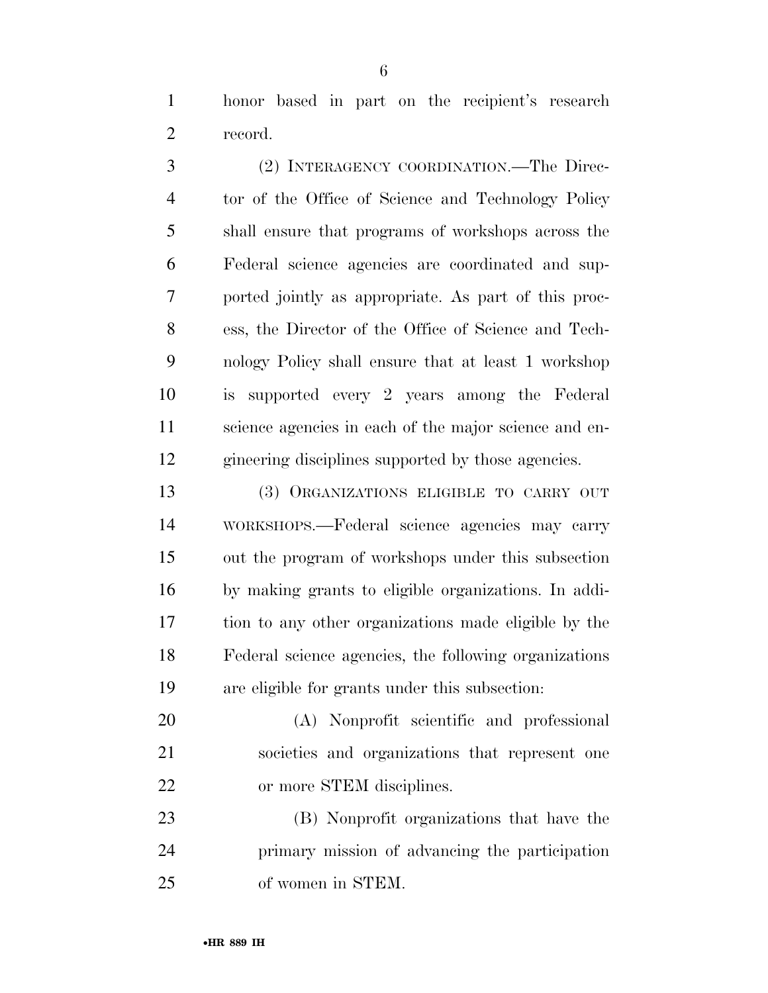honor based in part on the recipient's research record.

 (2) INTERAGENCY COORDINATION.—The Direc- tor of the Office of Science and Technology Policy shall ensure that programs of workshops across the Federal science agencies are coordinated and sup- ported jointly as appropriate. As part of this proc- ess, the Director of the Office of Science and Tech- nology Policy shall ensure that at least 1 workshop is supported every 2 years among the Federal science agencies in each of the major science and en-gineering disciplines supported by those agencies.

 (3) ORGANIZATIONS ELIGIBLE TO CARRY OUT WORKSHOPS.—Federal science agencies may carry out the program of workshops under this subsection by making grants to eligible organizations. In addi- tion to any other organizations made eligible by the Federal science agencies, the following organizations are eligible for grants under this subsection:

 (A) Nonprofit scientific and professional societies and organizations that represent one or more STEM disciplines.

 (B) Nonprofit organizations that have the primary mission of advancing the participation of women in STEM.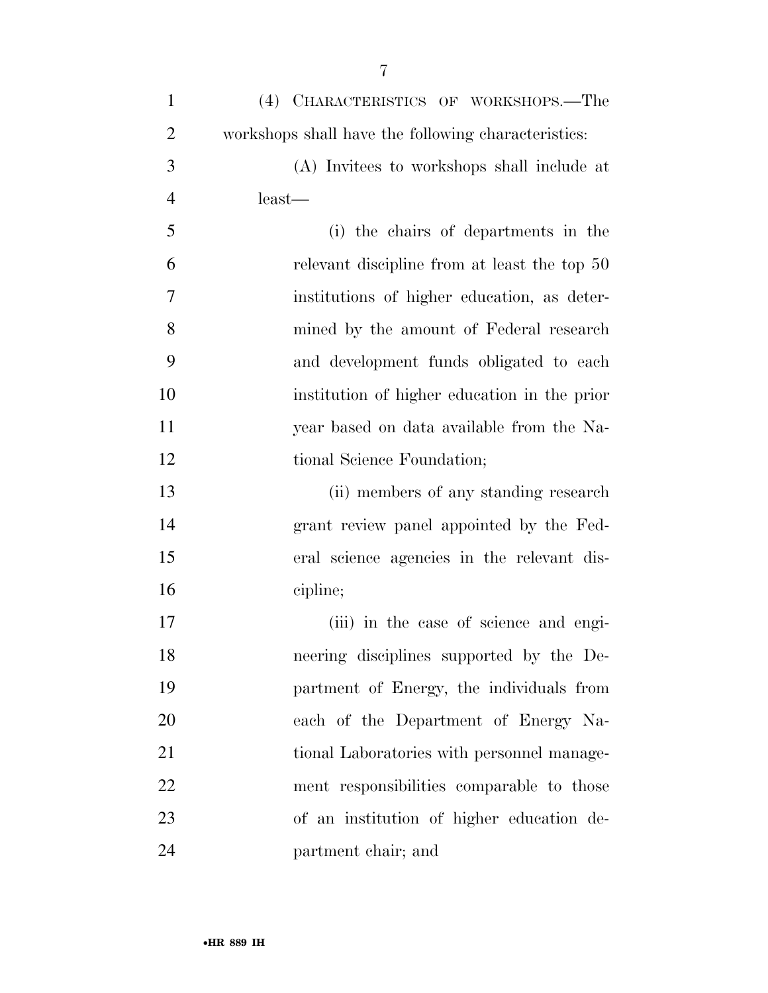| $\mathbf{1}$   | (4) CHARACTERISTICS OF WORKSHOPS.—The               |
|----------------|-----------------------------------------------------|
| $\overline{2}$ | workshops shall have the following characteristics: |
| 3              | (A) Invitees to workshops shall include at          |
| $\overline{4}$ | least—                                              |
| 5              | (i) the chairs of departments in the                |
| 6              | relevant discipline from at least the top 50        |
| $\overline{7}$ | institutions of higher education, as deter-         |
| 8              | mined by the amount of Federal research             |
| 9              | and development funds obligated to each             |
| 10             | institution of higher education in the prior        |
| 11             | year based on data available from the Na-           |
| 12             | tional Science Foundation;                          |
| 13             | (ii) members of any standing research               |
| 14             | grant review panel appointed by the Fed-            |
| 15             | eral science agencies in the relevant dis-          |
| 16             | cipline;                                            |
| 17             | (iii) in the case of science and engi-              |
| 18             | neering disciplines supported by the De-            |
| 19             | partment of Energy, the individuals from            |
| 20             | each of the Department of Energy Na-                |
| 21             | tional Laboratories with personnel manage-          |
| 22             | ment responsibilities comparable to those           |
| 23             | of an institution of higher education de-           |
| 24             | partment chair; and                                 |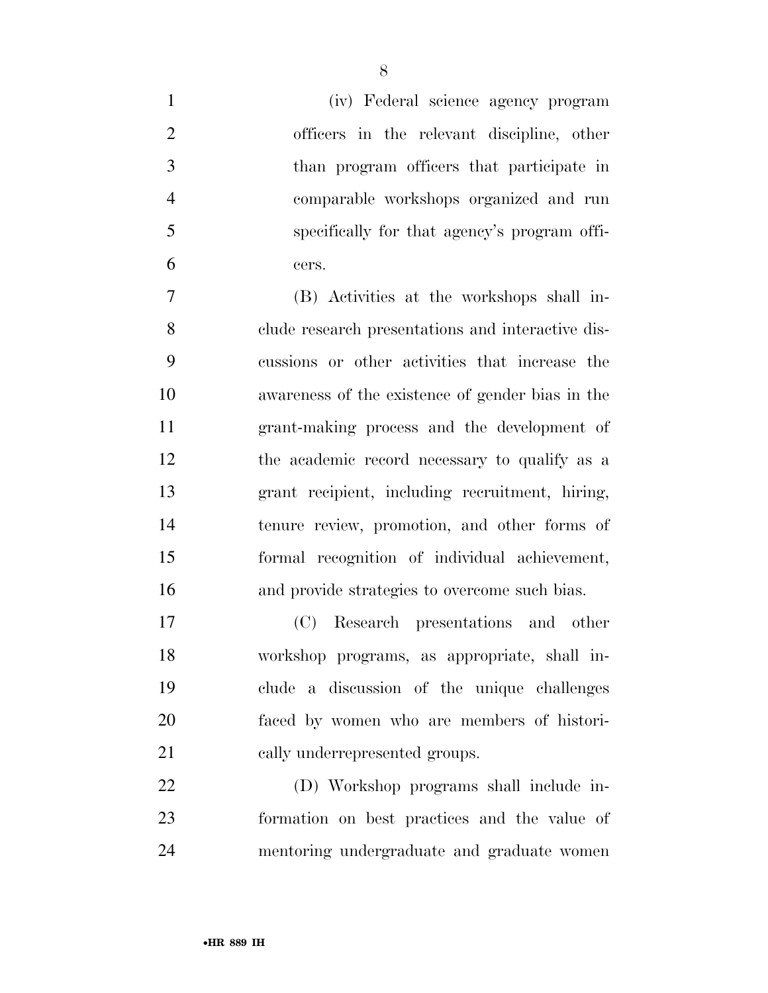| $\mathbf{1}$   | (iv) Federal science agency program               |
|----------------|---------------------------------------------------|
| $\overline{2}$ | officers in the relevant discipline, other        |
| 3              | than program officers that participate in         |
| $\overline{4}$ | comparable workshops organized and run            |
| 5              | specifically for that agency's program offi-      |
| 6              | cers.                                             |
| $\overline{7}$ | (B) Activities at the workshops shall in-         |
| 8              | clude research presentations and interactive dis- |
| 9              | cussions or other activities that increase the    |
| 10             | awareness of the existence of gender bias in the  |
| 11             | grant-making process and the development of       |
| 12             | the academic record necessary to qualify as a     |
| 13             | grant recipient, including recruitment, hiring,   |
| 14             | tenure review, promotion, and other forms of      |
| 15             | formal recognition of individual achievement,     |
| 16             | and provide strategies to overcome such bias.     |
| 17             | (C) Research presentations and other              |
| 18             | workshop programs, as appropriate, shall in-      |
| 19             | clude a discussion of the unique challenges       |
| 20             | faced by women who are members of histori-        |
| 21             | cally underrepresented groups.                    |
| 22             | (D) Workshop programs shall include in-           |
| 23             | formation on best practices and the value of      |
| 24             | mentoring undergraduate and graduate women        |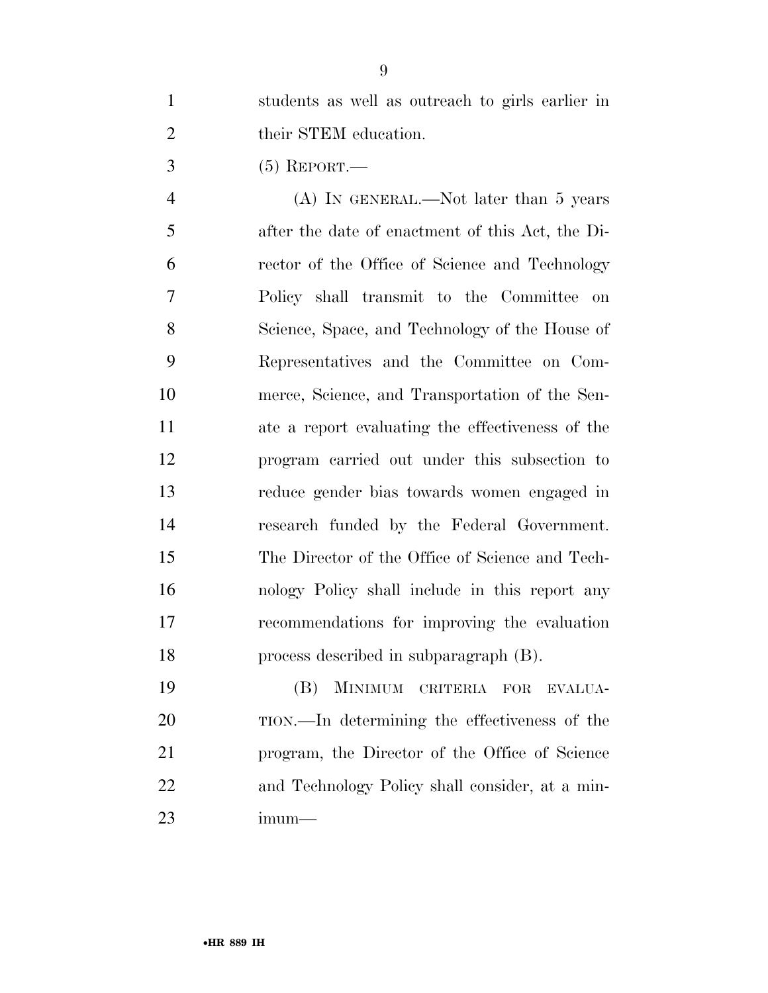students as well as outreach to girls earlier in 2 their STEM education.

(5) REPORT.—

 (A) IN GENERAL.—Not later than 5 years after the date of enactment of this Act, the Di- rector of the Office of Science and Technology Policy shall transmit to the Committee on Science, Space, and Technology of the House of Representatives and the Committee on Com- merce, Science, and Transportation of the Sen- ate a report evaluating the effectiveness of the program carried out under this subsection to reduce gender bias towards women engaged in research funded by the Federal Government. The Director of the Office of Science and Tech- nology Policy shall include in this report any recommendations for improving the evaluation process described in subparagraph (B).

 (B) MINIMUM CRITERIA FOR EVALUA- TION.—In determining the effectiveness of the program, the Director of the Office of Science and Technology Policy shall consider, at a min-imum—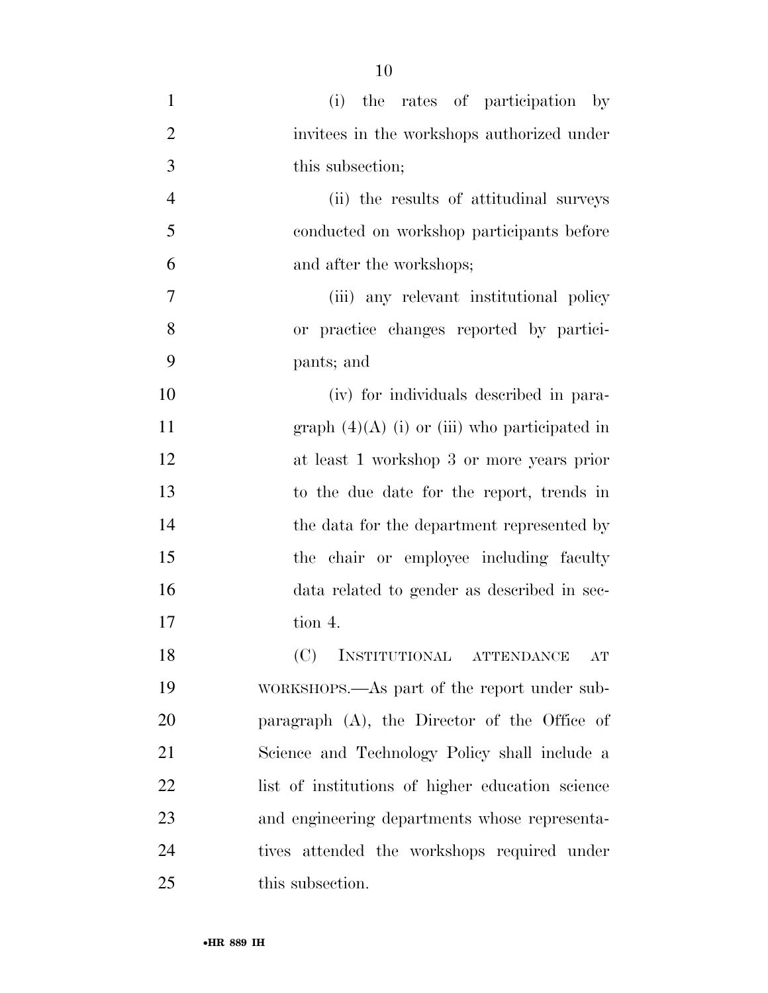| $\mathbf{1}$   | (i) the rates of participation by                |
|----------------|--------------------------------------------------|
| $\overline{2}$ | invitees in the workshops authorized under       |
| 3              | this subsection;                                 |
| $\overline{4}$ | (ii) the results of attitudinal surveys          |
| 5              | conducted on workshop participants before        |
| 6              | and after the workshops;                         |
| 7              | (iii) any relevant institutional policy          |
| 8              | or practice changes reported by partici-         |
| 9              | pants; and                                       |
| 10             | (iv) for individuals described in para-          |
| 11             | graph $(4)(A)$ (i) or (iii) who participated in  |
| 12             | at least 1 workshop 3 or more years prior        |
| 13             | to the due date for the report, trends in        |
| 14             | the data for the department represented by       |
| 15             | the chair or employee including faculty          |
| 16             | data related to gender as described in sec-      |
| 17             | tion 4.                                          |
| 18             | (C) INSTITUTIONAL ATTENDANCE<br>$\rm{AT}$        |
| 19             | WORKSHOPS.—As part of the report under sub-      |
| 20             | paragraph $(A)$ , the Director of the Office of  |
| 21             | Science and Technology Policy shall include a    |
| 22             | list of institutions of higher education science |
| 23             | and engineering departments whose representa-    |
| 24             | tives attended the workshops required under      |
| 25             | this subsection.                                 |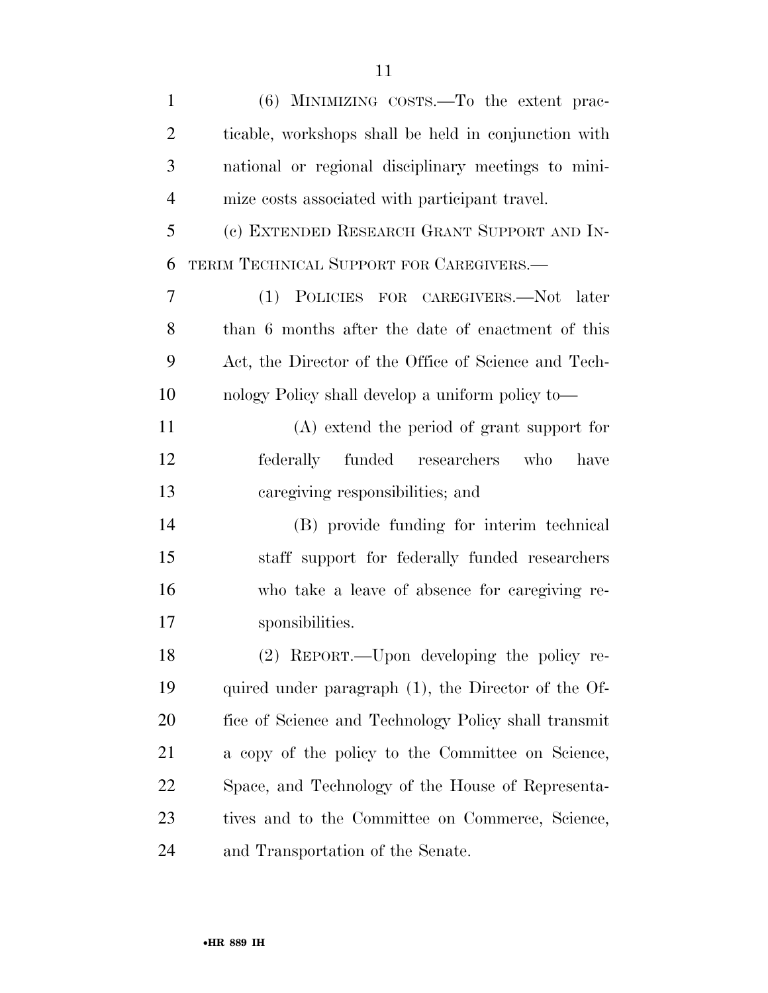| $\mathbf{1}$   | $(6)$ MINIMIZING COSTS.—To the extent prac-          |
|----------------|------------------------------------------------------|
| $\overline{2}$ | ticable, workshops shall be held in conjunction with |
| 3              | national or regional disciplinary meetings to mini-  |
| $\overline{4}$ | mize costs associated with participant travel.       |
| 5              | (c) EXTENDED RESEARCH GRANT SUPPORT AND IN-          |
| 6              | TERIM TECHNICAL SUPPORT FOR CAREGIVERS.-             |
| 7              | (1) POLICIES FOR CAREGIVERS.—Not later               |
| 8              | than 6 months after the date of enactment of this    |
| 9              | Act, the Director of the Office of Science and Tech- |
| 10             | nology Policy shall develop a uniform policy to—     |
| 11             | (A) extend the period of grant support for           |
| 12             | federally funded researchers<br>who<br>have          |
| 13             | caregiving responsibilities; and                     |
| 14             | (B) provide funding for interim technical            |
| 15             | staff support for federally funded researchers       |
| 16             | who take a leave of absence for caregiving re-       |
| 17             | sponsibilities.                                      |
| 18             | (2) REPORT.—Upon developing the policy re-           |
| 19             | quired under paragraph (1), the Director of the Of-  |
| <b>20</b>      | fice of Science and Technology Policy shall transmit |
| 21             | a copy of the policy to the Committee on Science,    |
| 22             | Space, and Technology of the House of Representa-    |
| 23             | tives and to the Committee on Commerce, Science,     |
| 24             | and Transportation of the Senate.                    |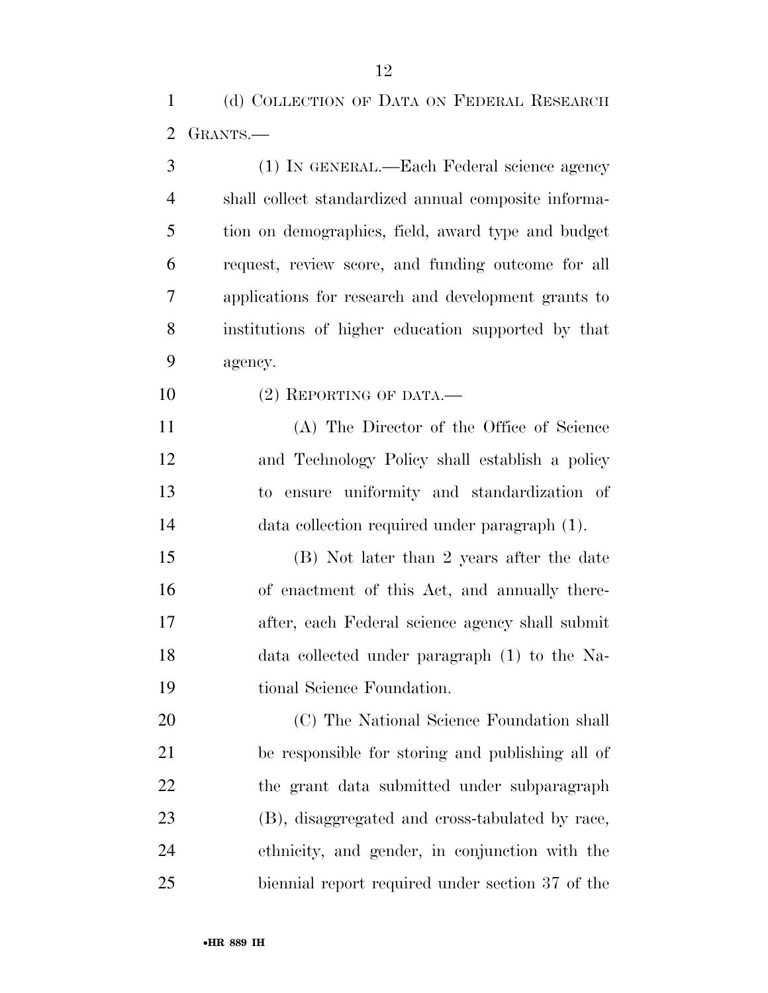(d) COLLECTION OF DATA ON FEDERAL RESEARCH GRANTS.—

| 3              | (1) IN GENERAL.—Each Federal science agency          |
|----------------|------------------------------------------------------|
| $\overline{4}$ | shall collect standardized annual composite informa- |
| 5              | tion on demographics, field, award type and budget   |
| 6              | request, review score, and funding outcome for all   |
| 7              | applications for research and development grants to  |
| 8              | institutions of higher education supported by that   |
| 9              | agency.                                              |
| 10             | $(2)$ REPORTING OF DATA.—                            |
| 11             | (A) The Director of the Office of Science            |
| 12             | and Technology Policy shall establish a policy       |
| 13             | to ensure uniformity and standardization of          |
| 14             | data collection required under paragraph (1).        |
| 15             | (B) Not later than 2 years after the date            |
| 16             | of enactment of this Act, and annually there-        |
| 17             | after, each Federal science agency shall submit      |
| 18             | data collected under paragraph (1) to the Na-        |
| 19             | tional Science Foundation.                           |
| 20             | (C) The National Science Foundation shall            |
| 21             | be responsible for storing and publishing all of     |
| 22             | the grant data submitted under subparagraph          |
| 23             | (B), disaggregated and cross-tabulated by race,      |
| 24             | ethnicity, and gender, in conjunction with the       |
| 25             | biennial report required under section 37 of the     |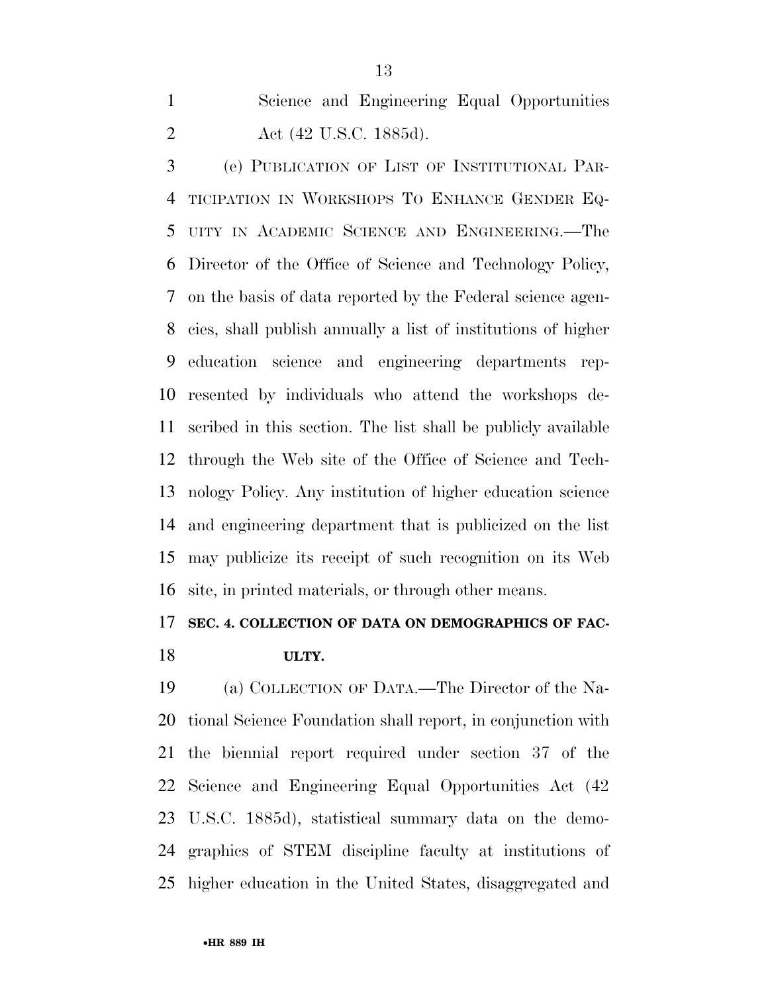Science and Engineering Equal Opportunities Act (42 U.S.C. 1885d).

 (e) PUBLICATION OF LIST OF INSTITUTIONAL PAR- TICIPATION IN WORKSHOPS TO ENHANCE GENDER EQ- UITY IN ACADEMIC SCIENCE AND ENGINEERING.—The Director of the Office of Science and Technology Policy, on the basis of data reported by the Federal science agen- cies, shall publish annually a list of institutions of higher education science and engineering departments rep- resented by individuals who attend the workshops de- scribed in this section. The list shall be publicly available through the Web site of the Office of Science and Tech- nology Policy. Any institution of higher education science and engineering department that is publicized on the list may publicize its receipt of such recognition on its Web site, in printed materials, or through other means.

# **SEC. 4. COLLECTION OF DATA ON DEMOGRAPHICS OF FAC-**

## **ULTY.**

 (a) COLLECTION OF DATA.—The Director of the Na- tional Science Foundation shall report, in conjunction with the biennial report required under section 37 of the Science and Engineering Equal Opportunities Act (42 U.S.C. 1885d), statistical summary data on the demo- graphics of STEM discipline faculty at institutions of higher education in the United States, disaggregated and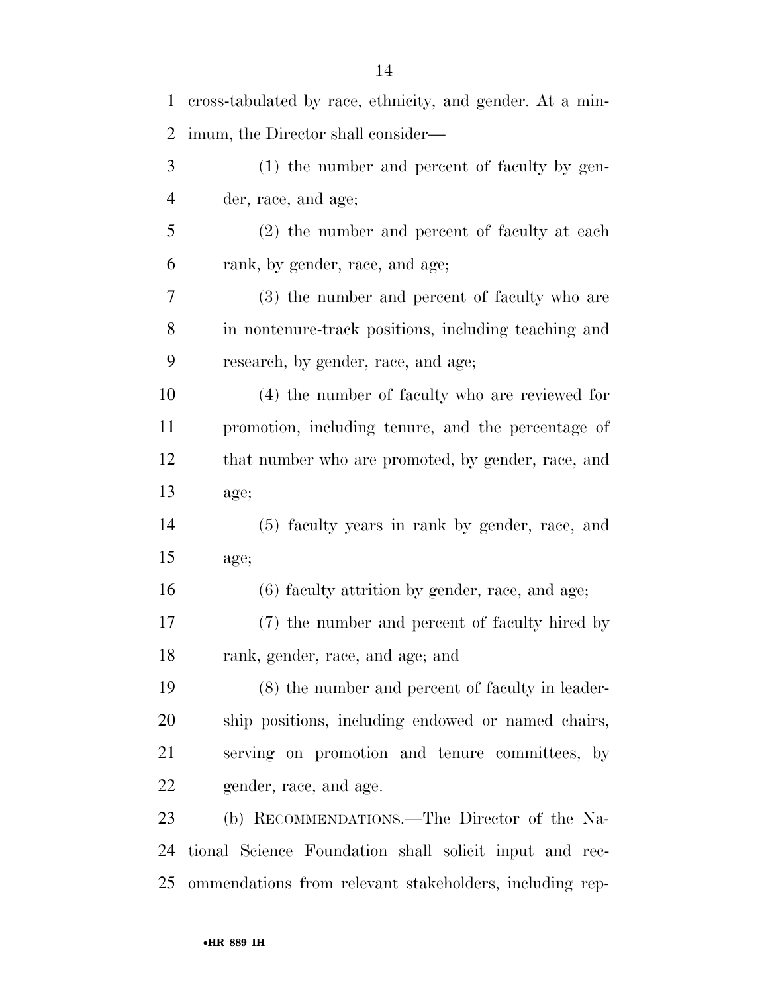| 1  | cross-tabulated by race, ethnicity, and gender. At a min- |
|----|-----------------------------------------------------------|
| 2  | imum, the Director shall consider—                        |
| 3  | (1) the number and percent of faculty by gen-             |
| 4  | der, race, and age;                                       |
| 5  | (2) the number and percent of faculty at each             |
| 6  | rank, by gender, race, and age;                           |
| 7  | (3) the number and percent of faculty who are             |
| 8  | in nontenure-track positions, including teaching and      |
| 9  | research, by gender, race, and age;                       |
| 10 | (4) the number of faculty who are reviewed for            |
| 11 | promotion, including tenure, and the percentage of        |
| 12 | that number who are promoted, by gender, race, and        |
| 13 | age;                                                      |
| 14 | (5) faculty years in rank by gender, race, and            |
| 15 | age;                                                      |
| 16 | (6) faculty attrition by gender, race, and age;           |
| 17 | (7) the number and percent of faculty hired by            |
| 18 | rank, gender, race, and age; and                          |
| 19 | (8) the number and percent of faculty in leader-          |
| 20 | ship positions, including endowed or named chairs,        |
| 21 | serving on promotion and tenure committees, by            |
| 22 | gender, race, and age.                                    |
| 23 | (b) RECOMMENDATIONS.—The Director of the Na-              |
| 24 | tional Science Foundation shall solicit input and rec-    |
| 25 | ommendations from relevant stakeholders, including rep-   |